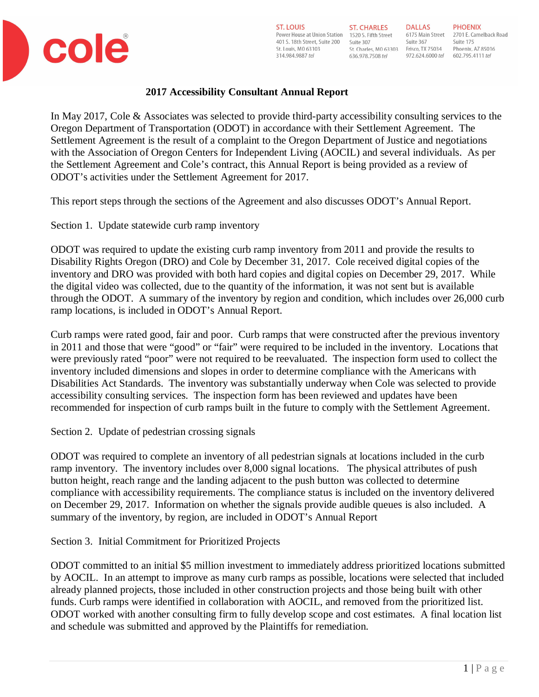

# **2017 Accessibility Consultant Annual Report**

In May 2017, Cole & Associates was selected to provide third-party accessibility consulting services to the Oregon Department of Transportation (ODOT) in accordance with their Settlement Agreement. The Settlement Agreement is the result of a complaint to the Oregon Department of Justice and negotiations with the Association of Oregon Centers for Independent Living (AOCIL) and several individuals. As per the Settlement Agreement and Cole's contract, this Annual Report is being provided as a review of ODOT's activities under the Settlement Agreement for 2017.

This report steps through the sections of the Agreement and also discusses ODOT's Annual Report.

Section 1. Update statewide curb ramp inventory

ODOT was required to update the existing curb ramp inventory from 2011 and provide the results to Disability Rights Oregon (DRO) and Cole by December 31, 2017. Cole received digital copies of the inventory and DRO was provided with both hard copies and digital copies on December 29, 2017. While the digital video was collected, due to the quantity of the information, it was not sent but is available through the ODOT. A summary of the inventory by region and condition, which includes over 26,000 curb ramp locations, is included in ODOT's Annual Report.

Curb ramps were rated good, fair and poor. Curb ramps that were constructed after the previous inventory in 2011 and those that were "good" or "fair" were required to be included in the inventory. Locations that were previously rated "poor" were not required to be reevaluated. The inspection form used to collect the inventory included dimensions and slopes in order to determine compliance with the Americans with Disabilities Act Standards. The inventory was substantially underway when Cole was selected to provide accessibility consulting services. The inspection form has been reviewed and updates have been recommended for inspection of curb ramps built in the future to comply with the Settlement Agreement.

Section 2. Update of pedestrian crossing signals

ODOT was required to complete an inventory of all pedestrian signals at locations included in the curb ramp inventory. The inventory includes over 8,000 signal locations. The physical attributes of push button height, reach range and the landing adjacent to the push button was collected to determine compliance with accessibility requirements. The compliance status is included on the inventory delivered on December 29, 2017. Information on whether the signals provide audible queues is also included. A summary of the inventory, by region, are included in ODOT's Annual Report

Section 3. Initial Commitment for Prioritized Projects

ODOT committed to an initial \$5 million investment to immediately address prioritized locations submitted by AOCIL. In an attempt to improve as many curb ramps as possible, locations were selected that included already planned projects, those included in other construction projects and those being built with other funds. Curb ramps were identified in collaboration with AOCIL, and removed from the prioritized list. ODOT worked with another consulting firm to fully develop scope and cost estimates. A final location list and schedule was submitted and approved by the Plaintiffs for remediation.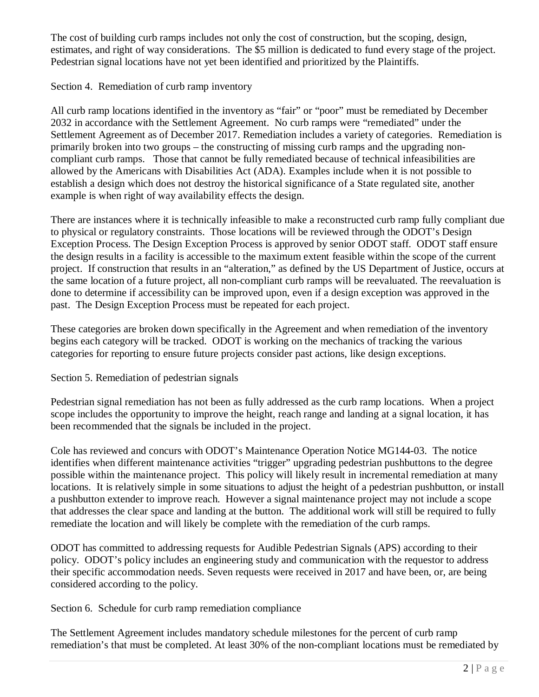The cost of building curb ramps includes not only the cost of construction, but the scoping, design, estimates, and right of way considerations. The \$5 million is dedicated to fund every stage of the project. Pedestrian signal locations have not yet been identified and prioritized by the Plaintiffs.

Section 4. Remediation of curb ramp inventory

All curb ramp locations identified in the inventory as "fair" or "poor" must be remediated by December 2032 in accordance with the Settlement Agreement. No curb ramps were "remediated" under the Settlement Agreement as of December 2017. Remediation includes a variety of categories. Remediation is primarily broken into two groups – the constructing of missing curb ramps and the upgrading noncompliant curb ramps. Those that cannot be fully remediated because of technical infeasibilities are allowed by the Americans with Disabilities Act (ADA). Examples include when it is not possible to establish a design which does not destroy the historical significance of a State regulated site, another example is when right of way availability effects the design.

There are instances where it is technically infeasible to make a reconstructed curb ramp fully compliant due to physical or regulatory constraints. Those locations will be reviewed through the ODOT's Design Exception Process. The Design Exception Process is approved by senior ODOT staff. ODOT staff ensure the design results in a facility is accessible to the maximum extent feasible within the scope of the current project. If construction that results in an "alteration," as defined by the US Department of Justice, occurs at the same location of a future project, all non-compliant curb ramps will be reevaluated. The reevaluation is done to determine if accessibility can be improved upon, even if a design exception was approved in the past. The Design Exception Process must be repeated for each project.

These categories are broken down specifically in the Agreement and when remediation of the inventory begins each category will be tracked. ODOT is working on the mechanics of tracking the various categories for reporting to ensure future projects consider past actions, like design exceptions.

Section 5. Remediation of pedestrian signals

Pedestrian signal remediation has not been as fully addressed as the curb ramp locations. When a project scope includes the opportunity to improve the height, reach range and landing at a signal location, it has been recommended that the signals be included in the project.

Cole has reviewed and concurs with ODOT's Maintenance Operation Notice MG144-03. The notice identifies when different maintenance activities "trigger" upgrading pedestrian pushbuttons to the degree possible within the maintenance project. This policy will likely result in incremental remediation at many locations. It is relatively simple in some situations to adjust the height of a pedestrian pushbutton, or install a pushbutton extender to improve reach. However a signal maintenance project may not include a scope that addresses the clear space and landing at the button. The additional work will still be required to fully remediate the location and will likely be complete with the remediation of the curb ramps.

ODOT has committed to addressing requests for Audible Pedestrian Signals (APS) according to their policy. ODOT's policy includes an engineering study and communication with the requestor to address their specific accommodation needs. Seven requests were received in 2017 and have been, or, are being considered according to the policy.

Section 6. Schedule for curb ramp remediation compliance

The Settlement Agreement includes mandatory schedule milestones for the percent of curb ramp remediation's that must be completed. At least 30% of the non-compliant locations must be remediated by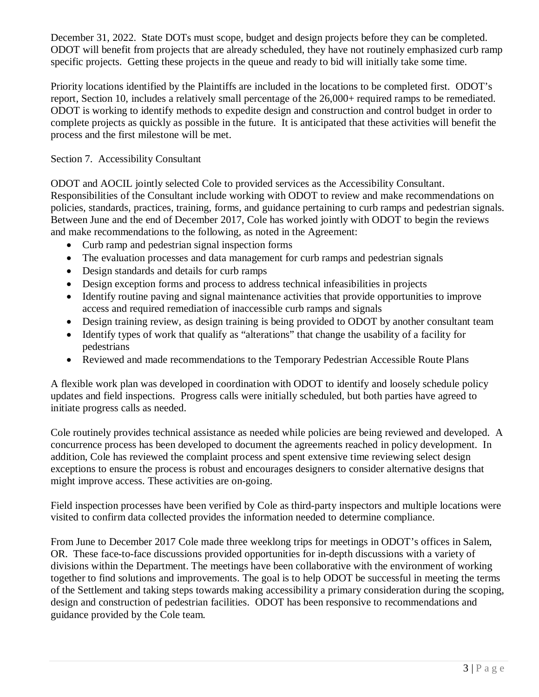December 31, 2022. State DOTs must scope, budget and design projects before they can be completed. ODOT will benefit from projects that are already scheduled, they have not routinely emphasized curb ramp specific projects. Getting these projects in the queue and ready to bid will initially take some time.

Priority locations identified by the Plaintiffs are included in the locations to be completed first. ODOT's report, Section 10, includes a relatively small percentage of the 26,000+ required ramps to be remediated. ODOT is working to identify methods to expedite design and construction and control budget in order to complete projects as quickly as possible in the future. It is anticipated that these activities will benefit the process and the first milestone will be met.

## Section 7. Accessibility Consultant

ODOT and AOCIL jointly selected Cole to provided services as the Accessibility Consultant. Responsibilities of the Consultant include working with ODOT to review and make recommendations on policies, standards, practices, training, forms, and guidance pertaining to curb ramps and pedestrian signals. Between June and the end of December 2017, Cole has worked jointly with ODOT to begin the reviews and make recommendations to the following, as noted in the Agreement:

- Curb ramp and pedestrian signal inspection forms
- The evaluation processes and data management for curb ramps and pedestrian signals
- · Design standards and details for curb ramps
- · Design exception forms and process to address technical infeasibilities in projects
- · Identify routine paving and signal maintenance activities that provide opportunities to improve access and required remediation of inaccessible curb ramps and signals
- Design training review, as design training is being provided to ODOT by another consultant team
- · Identify types of work that qualify as "alterations" that change the usability of a facility for pedestrians
- · Reviewed and made recommendations to the Temporary Pedestrian Accessible Route Plans

A flexible work plan was developed in coordination with ODOT to identify and loosely schedule policy updates and field inspections. Progress calls were initially scheduled, but both parties have agreed to initiate progress calls as needed.

Cole routinely provides technical assistance as needed while policies are being reviewed and developed. A concurrence process has been developed to document the agreements reached in policy development. In addition, Cole has reviewed the complaint process and spent extensive time reviewing select design exceptions to ensure the process is robust and encourages designers to consider alternative designs that might improve access. These activities are on-going.

Field inspection processes have been verified by Cole as third-party inspectors and multiple locations were visited to confirm data collected provides the information needed to determine compliance.

From June to December 2017 Cole made three weeklong trips for meetings in ODOT's offices in Salem, OR. These face-to-face discussions provided opportunities for in-depth discussions with a variety of divisions within the Department. The meetings have been collaborative with the environment of working together to find solutions and improvements. The goal is to help ODOT be successful in meeting the terms of the Settlement and taking steps towards making accessibility a primary consideration during the scoping, design and construction of pedestrian facilities. ODOT has been responsive to recommendations and guidance provided by the Cole team.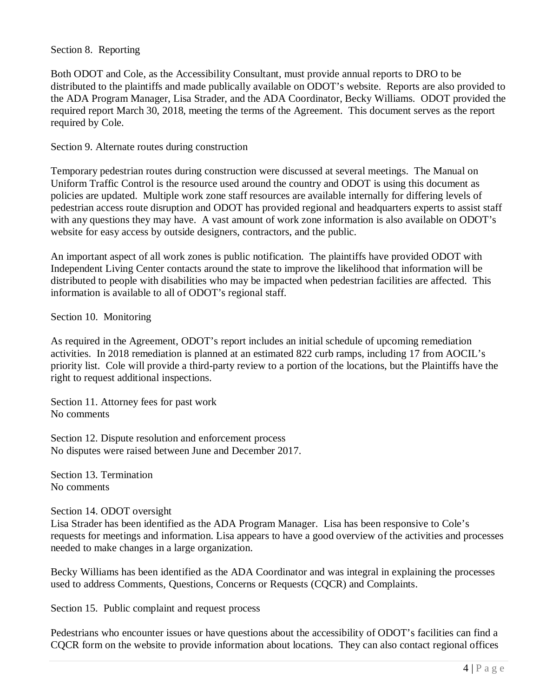#### Section 8. Reporting

Both ODOT and Cole, as the Accessibility Consultant, must provide annual reports to DRO to be distributed to the plaintiffs and made publically available on ODOT's website. Reports are also provided to the ADA Program Manager, Lisa Strader, and the ADA Coordinator, Becky Williams. ODOT provided the required report March 30, 2018, meeting the terms of the Agreement. This document serves as the report required by Cole.

Section 9. Alternate routes during construction

Temporary pedestrian routes during construction were discussed at several meetings. The Manual on Uniform Traffic Control is the resource used around the country and ODOT is using this document as policies are updated. Multiple work zone staff resources are available internally for differing levels of pedestrian access route disruption and ODOT has provided regional and headquarters experts to assist staff with any questions they may have. A vast amount of work zone information is also available on ODOT's website for easy access by outside designers, contractors, and the public.

An important aspect of all work zones is public notification. The plaintiffs have provided ODOT with Independent Living Center contacts around the state to improve the likelihood that information will be distributed to people with disabilities who may be impacted when pedestrian facilities are affected. This information is available to all of ODOT's regional staff.

Section 10. Monitoring

As required in the Agreement, ODOT's report includes an initial schedule of upcoming remediation activities. In 2018 remediation is planned at an estimated 822 curb ramps, including 17 from AOCIL's priority list. Cole will provide a third-party review to a portion of the locations, but the Plaintiffs have the right to request additional inspections.

Section 11. Attorney fees for past work No comments

Section 12. Dispute resolution and enforcement process No disputes were raised between June and December 2017.

Section 13. Termination No comments

Section 14. ODOT oversight

Lisa Strader has been identified as the ADA Program Manager. Lisa has been responsive to Cole's requests for meetings and information. Lisa appears to have a good overview of the activities and processes needed to make changes in a large organization.

Becky Williams has been identified as the ADA Coordinator and was integral in explaining the processes used to address Comments, Questions, Concerns or Requests (CQCR) and Complaints.

Section 15. Public complaint and request process

Pedestrians who encounter issues or have questions about the accessibility of ODOT's facilities can find a CQCR form on the website to provide information about locations. They can also contact regional offices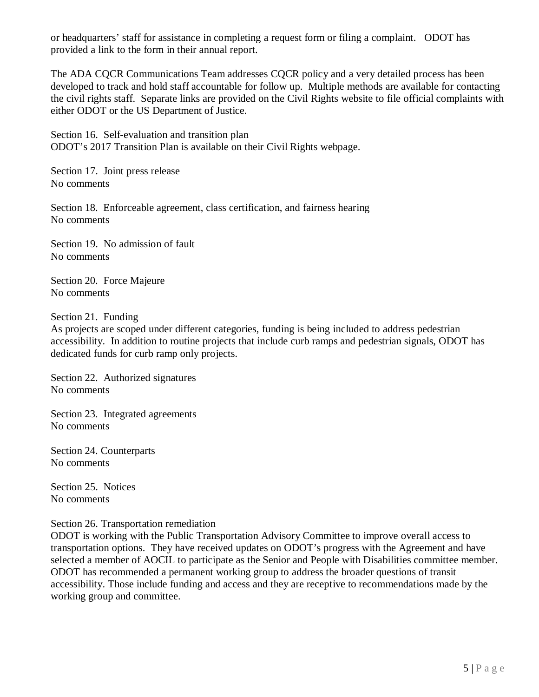or headquarters' staff for assistance in completing a request form or filing a complaint. ODOT has provided a link to the form in their annual report.

The ADA COCR Communications Team addresses COCR policy and a very detailed process has been developed to track and hold staff accountable for follow up. Multiple methods are available for contacting the civil rights staff. Separate links are provided on the Civil Rights website to file official complaints with either ODOT or the US Department of Justice.

Section 16. Self-evaluation and transition plan ODOT's 2017 Transition Plan is available on their Civil Rights webpage.

Section 17. Joint press release No comments

Section 18. Enforceable agreement, class certification, and fairness hearing No comments

Section 19. No admission of fault No comments

Section 20. Force Majeure No comments

Section 21. Funding

As projects are scoped under different categories, funding is being included to address pedestrian accessibility. In addition to routine projects that include curb ramps and pedestrian signals, ODOT has dedicated funds for curb ramp only projects.

Section 22. Authorized signatures No comments

Section 23. Integrated agreements No comments

Section 24. Counterparts No comments

Section 25. Notices No comments

### Section 26. Transportation remediation

ODOT is working with the Public Transportation Advisory Committee to improve overall access to transportation options. They have received updates on ODOT's progress with the Agreement and have selected a member of AOCIL to participate as the Senior and People with Disabilities committee member. ODOT has recommended a permanent working group to address the broader questions of transit accessibility. Those include funding and access and they are receptive to recommendations made by the working group and committee.